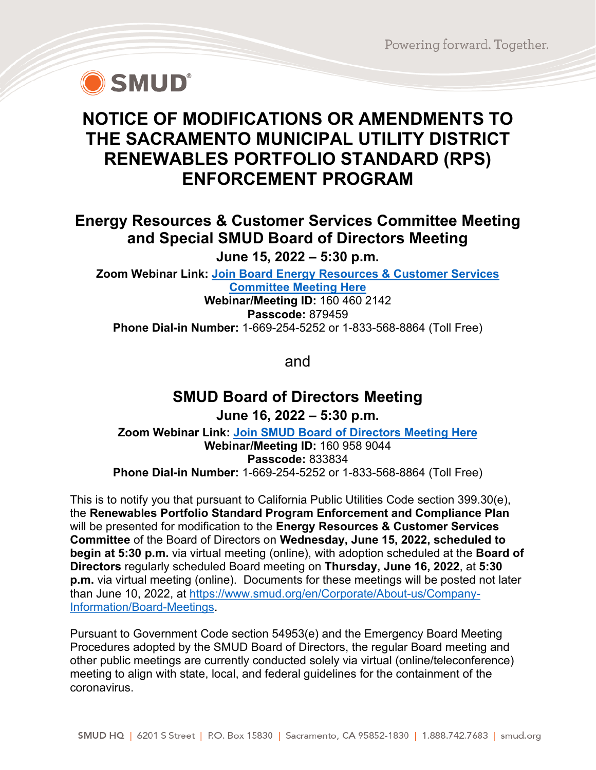Powering forward. Together.



## **NOTICE OF MODIFICATIONS OR AMENDMENTS TO THE SACRAMENTO MUNICIPAL UTILITY DISTRICT RENEWABLES PORTFOLIO STANDARD (RPS) ENFORCEMENT PROGRAM**

## **Energy Resources & Customer Services Committee Meeting and Special SMUD Board of Directors Meeting**

**June 15, 2022 – 5:30 p.m.**

**Zoom Webinar Link: [Join Board Energy Resources & Customer Services](https://smud.zoomgov.com/j/1604602142?pwd=SjFuOWV1blBEc1BDcG1Yek0wVWo2dz09)  [Committee Meeting Here](https://smud.zoomgov.com/j/1604602142?pwd=SjFuOWV1blBEc1BDcG1Yek0wVWo2dz09)**

**Webinar/Meeting ID:** 160 460 2142 **Passcode:** 879459 **Phone Dial-in Number:** 1-669-254-5252 or 1-833-568-8864 (Toll Free)

and

## **SMUD Board of Directors Meeting June 16, 2022 – 5:30 p.m.**

**Zoom Webinar Link: [Join SMUD Board of Directors Meeting Here](https://smud.zoomgov.com/j/1609589044?pwd=Z1E4VlB5VUNwQTRYRXJjRTdDQmNQdz09) Webinar/Meeting ID:** 160 958 9044 **Passcode:** 833834 **Phone Dial-in Number:** 1-669-254-5252 or 1-833-568-8864 (Toll Free)

This is to notify you that pursuant to California Public Utilities Code section 399.30(e), the **Renewables Portfolio Standard Program Enforcement and Compliance Plan** will be presented for modification to the **Energy Resources & Customer Services Committee** of the Board of Directors on **Wednesday, June 15, 2022, scheduled to begin at 5:30 p.m.** via virtual meeting (online), with adoption scheduled at the **Board of Directors** regularly scheduled Board meeting on **Thursday, June 16, 2022**, at **5:30 p.m.** via virtual meeting (online). Documents for these meetings will be posted not later than June 10, 2022, at [https://www.smud.org/en/Corporate/About-us/Company-](https://www.smud.org/en/Corporate/About-us/Company-Information/Board-Meetings)[Information/Board-Meetings.](https://www.smud.org/en/Corporate/About-us/Company-Information/Board-Meetings)

Pursuant to Government Code section 54953(e) and the Emergency Board Meeting Procedures adopted by the SMUD Board of Directors, the regular Board meeting and other public meetings are currently conducted solely via virtual (online/teleconference) meeting to align with state, local, and federal guidelines for the containment of the coronavirus.